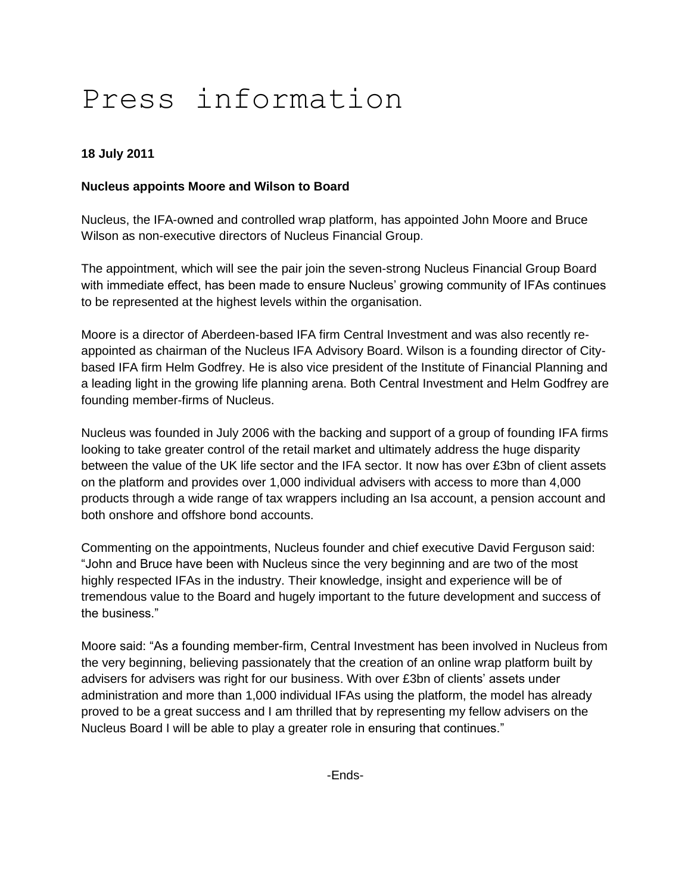# Press information

## **18 July 2011**

## **Nucleus appoints Moore and Wilson to Board**

Nucleus, the IFA-owned and controlled wrap platform, has appointed John Moore and Bruce Wilson as non-executive directors of Nucleus Financial Group.

The appointment, which will see the pair join the seven-strong Nucleus Financial Group Board with immediate effect, has been made to ensure Nucleus' growing community of IFAs continues to be represented at the highest levels within the organisation.

Moore is a director of Aberdeen-based IFA firm Central Investment and was also recently reappointed as chairman of the Nucleus IFA Advisory Board. Wilson is a founding director of Citybased IFA firm Helm Godfrey. He is also vice president of the Institute of Financial Planning and a leading light in the growing life planning arena. Both Central Investment and Helm Godfrey are founding member-firms of Nucleus.

Nucleus was founded in July 2006 with the backing and support of a group of founding IFA firms looking to take greater control of the retail market and ultimately address the huge disparity between the value of the UK life sector and the IFA sector. It now has over £3bn of client assets on the platform and provides over 1,000 individual advisers with access to more than 4,000 products through a wide range of tax wrappers including an Isa account, a pension account and both onshore and offshore bond accounts.

Commenting on the appointments, Nucleus founder and chief executive David Ferguson said: "John and Bruce have been with Nucleus since the very beginning and are two of the most highly respected IFAs in the industry. Their knowledge, insight and experience will be of tremendous value to the Board and hugely important to the future development and success of the business."

Moore said: "As a founding member-firm, Central Investment has been involved in Nucleus from the very beginning, believing passionately that the creation of an online wrap platform built by advisers for advisers was right for our business. With over £3bn of clients' assets under administration and more than 1,000 individual IFAs using the platform, the model has already proved to be a great success and I am thrilled that by representing my fellow advisers on the Nucleus Board I will be able to play a greater role in ensuring that continues."